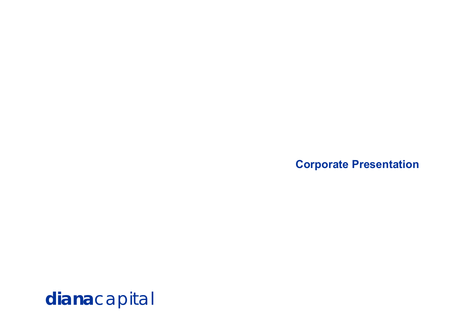**Corporate Presentation**

**diana**capital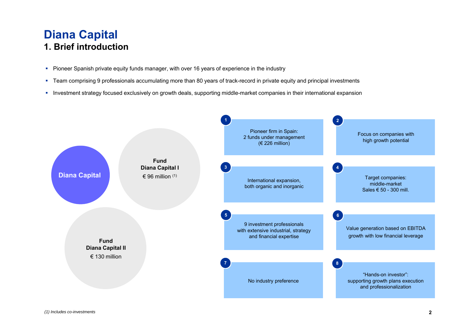### **Diana Capital 1. Brief introduction**

- **Pioneer Spanish private equity funds manager, with over 16 years of experience in the industry**
- Team comprising 9 professionals accumulating more than 80 years of track-record in private equity and principal investments
- **Investment strategy focused exclusively on growth deals, supporting middle-market companies in their international expansion**

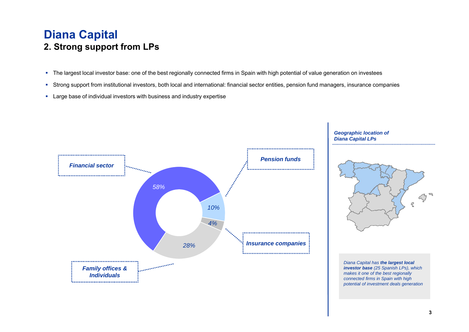#### **Diana Capital 2. Strong support from LPs**

- The largest local investor base: one of the best regionally connected firms in Spain with high potential of value generation on investees
- Strong support from institutional investors, both local and international: financial sector entities, pension fund managers, insurance companies
- Large base of individual investors with business and industry expertise



*Geographic location of Diana Capital LPs*



*Diana Capital has the largest local investor base (25 Spanish LPs), which makes it one of the best regionally connected firms in Spain with high potential of investment deals generation*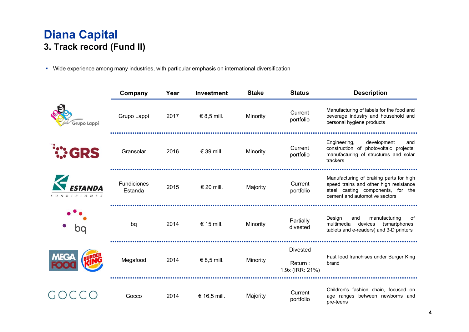### **Diana Capital 3. Track record (Fund II)**

**•** Wide experience among many industries, with particular emphasis on international diversification

|                   | Company                | Year | <b>Investment</b> | <b>Stake</b> | <b>Status</b>                                 | <b>Description</b>                                                                                                                                      |
|-------------------|------------------------|------|-------------------|--------------|-----------------------------------------------|---------------------------------------------------------------------------------------------------------------------------------------------------------|
| Grupo Lappí       | Grupo Lappí            | 2017 | € 8,5 mill.       | Minority     | Current<br>portfolio                          | Manufacturing of labels for the food and<br>beverage industry and household and<br>personal hygiene products                                            |
| <b><i>CRS</i></b> | Gransolar              | 2016 | € 39 mill.        | Minority     | Current<br>portfolio                          | Engineering,<br>development<br>and<br>construction of photovoltaic projects;<br>manufacturing of structures and solar<br>trackers                       |
| DICIONES          | Fundiciones<br>Estanda | 2015 | € 20 mill.        | Majority     | Current<br>portfolio                          | Manufacturing of braking parts for high<br>speed trains and other high resistance<br>steel casting components, for the<br>cement and automotive sectors |
| bq                | bq                     | 2014 | € 15 mill.        | Minority     | Partially<br>divested                         | Design<br>manufacturing<br>and<br>of<br>multimedia<br>devices<br>(smartphones,<br>tablets and e-readers) and 3-D printers                               |
| MEGA              | Megafood               | 2014 | € 8,5 mill.       | Minority     | <b>Divested</b><br>Return:<br>1.9x (IRR: 21%) | Fast food franchises under Burger King<br>brand                                                                                                         |
|                   | Gocco                  | 2014 | € 16,5 mill.      | Majority     | Current<br>portfolio                          | Children's fashion chain, focused on<br>age ranges between newborns and<br>pre-teens                                                                    |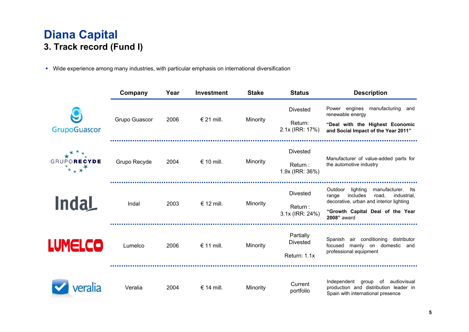## **Diana Capital 3. Track record (Fund I)**

**•** Wide experience among many industries, with particular emphasis on international diversification

|                         | Company       | Year | <b>Investment</b> | <b>Stake</b> | <b>Status</b>                                  | <b>Description</b>                                                                                                                                                                     |  |
|-------------------------|---------------|------|-------------------|--------------|------------------------------------------------|----------------------------------------------------------------------------------------------------------------------------------------------------------------------------------------|--|
| GrupoGuascor            | Grupo Guascor | 2006 | € 21 mill.        | Minority     | <b>Divested</b><br>Return:<br>2.1x (IRR: 17%)  | manufacturing<br>Power engines<br>and<br>renewable energy<br>"Deal with the Highest Economic<br>and Social Impact of the Year 2011"                                                    |  |
| GRUPORECYDE<br>$*_{**}$ | Grupo Recyde  | 2004 | € 10 mill.        | Minority     | <b>Divested</b><br>Return :<br>1.9x (IRR: 36%) | Manufacturer of value-added parts for<br>the automotive industry                                                                                                                       |  |
| <b>Indal</b>            | Indal         | 2003 | € 12 mill.        | Minority     | <b>Divested</b><br>Return :<br>3.1x (IRR: 24%) | Outdoor<br>manufacturer.<br>lighting<br>lts<br>includes<br>range<br>road,<br>industrial,<br>decorative, urban and interior lighting<br>"Growth Capital Deal of the Year<br>2008" award |  |
| <b>LUMELCO</b>          | Lumelco       | 2006 | € 11 mill.        | Minority     | Partially<br><b>Divested</b><br>Return: 1.1x   | air conditioning<br>distributor<br>Spanish<br>mainly on domestic and<br>focused<br>professional equipment                                                                              |  |
| <i>r</i> eralia         | Veralia       | 2004 | € 14 mill.        | Minority     | Current<br>portfolio                           | Independent<br>group<br>of audiovisual<br>production and distribution leader in<br>Spain with international presence                                                                   |  |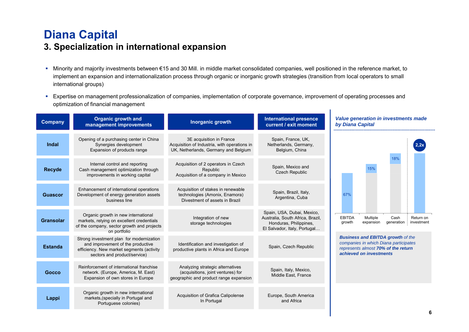# **Diana Capital**

#### **3. Specialization in international expansion**

- Minority and majority investments between €15 and 30 Mill. in middle market consolidated companies, well positioned in the reference market, to implement an expansion and internationalization process through organic or inorganic growth strategies (transition from local operators to small international groups)
- Expertise on management professionalization of companies, implementation of corporate governance, improvement of operating processes and optimization of financial management

 $\mathbf{I}$ 

| <b>Company</b>   | <b>Organic growth and</b><br>management improvements                                                                                                       | Inorganic growth                                                                                                 | <b>International presence</b><br>current / exit moment                                                                   |                         | <b>Value generation in investments made</b><br>by Diana Capital                                                                                     |                    |                         |  |
|------------------|------------------------------------------------------------------------------------------------------------------------------------------------------------|------------------------------------------------------------------------------------------------------------------|--------------------------------------------------------------------------------------------------------------------------|-------------------------|-----------------------------------------------------------------------------------------------------------------------------------------------------|--------------------|-------------------------|--|
| Indal            | Opening of a purchasing center in China<br>Synergies development<br>Expansion of products range                                                            | 3E acquisition in France<br>Acquisition of Industria, with operations in<br>UK, Netherlands, Germany and Belgium | Spain, France, UK,<br>Netherlands, Germany,<br>Belgium, China                                                            |                         |                                                                                                                                                     |                    |                         |  |
| <b>Recyde</b>    | Internal control and reporting<br>Cash management optimization through<br>improvements in working capital                                                  | Acquisition of 2 operators in Czech<br>Republic<br>Acquisition of a company in Mexico                            | Spain, Mexico and<br><b>Czech Republic</b>                                                                               |                         | 15%                                                                                                                                                 | 18%                |                         |  |
| <b>Guascor</b>   | Enhancement of international operations<br>Development of energy generation assets<br>business line                                                        | Acquisition of stakes in renewable<br>technologies (Amonix, Enamora)<br>Divestment of assets in Brazil           | Spain, Brazil, Italy,<br>Argentina, Cuba                                                                                 | 67%                     |                                                                                                                                                     |                    |                         |  |
| <b>Gransolar</b> | Organic growth in new international<br>markets, relying on excellent credentials<br>of the company, sector growth and projects<br>on portfolio             | Integration of new<br>storage technologies                                                                       | Spain, USA, Dubai, Mexico,<br>Australia, South Africa, Brazil,<br>Honduras, Philippines,<br>El Salvador, Italy, Portugal | <b>EBITDA</b><br>growth | Multiple<br>expansion                                                                                                                               | Cash<br>generation | Return on<br>investment |  |
| <b>Estanda</b>   | Strong investment plan for modernization<br>and improvement of the productive<br>efficiency. New market segments (activity<br>sectors and product/service) | Identification and investigation of<br>productive plants in Africa and Europe                                    | Spain, Czech Republic                                                                                                    |                         | <b>Business and EBITDA growth of the</b><br>companies in which Diana participates<br>represents almost 70% of the return<br>achieved on investments |                    |                         |  |
| Gocco            | Reinforcement of international franchise<br>network. (Europe, America, M. East)<br>Expansion of own stores in Europe                                       | Analyzing strategic alternatives<br>(acquisitions, joint ventures) for<br>geographic and product range expansion | Spain, Italy, Mexico,<br>Middle East, France                                                                             |                         |                                                                                                                                                     |                    |                         |  |
| Lappi            | Organic growth in new international<br>markets, (specially in Portugal and<br>Portuguese colonies)                                                         | Acquisition of Grafica Calipolense<br>In Portugal                                                                | Europe, South America<br>and Africa                                                                                      |                         |                                                                                                                                                     |                    |                         |  |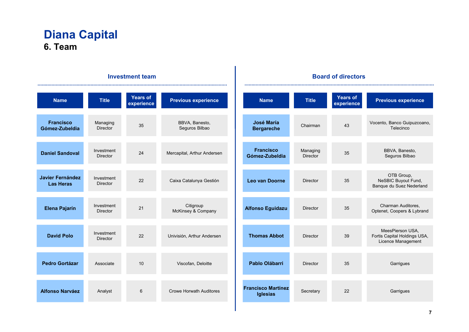#### **Diana Capital 6. Team**

#### **Board of directors Investment team**.................................... .................  $\sim$  . . . **Title Previous experience Years of experience Years of TitlePrevious experience NameNameexperience Francisco** Managing BBVA, Banesto, Vocento, Banco Guipuzcoano, **José María**  Chairman35 43 Seguros Bilbao **Bergareche Telecinco Gómez-Zubeldia**Director **Francisco** BBVA, Banesto, InvestmentManaging 24Mercapital, Arthur Andersen 35**Daniel Sandoval Gómez-Zubeldia**Seguros Bilbao Director Director OTB Group, **Javier Fernández**  Investment 22Caixa Catalunya Gestión NeSBIC Buyout Fund, **Leo van DoorneDirector** 35 **Las Heras**Director Banque du Suez Nederland Citigroup Charman Auditores, Investment **Elena Pajarín** 21**Alfonso Eguidazu Director** 35McKinsey & Company Optenet, Coopers & Lybrand Director MeesPierson USA, Investment 22Fortis Capital Holdings USA, **David Polo**Univisión, Arthur Andersen **Thomas AbbotDirector** 39 Director Licence Management **Pedro Gortázar**10Viscofan, Deloitte 35**Garrigues**  Associate **Pablo Olábarri** Director**Francisco Martínez Alfonso Narváez** Analyst Crowe Horwath Auditores 6**Secretary** 22**Garrigues Iglesias**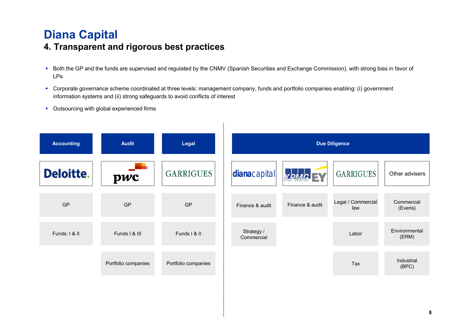# **Diana Capital**

#### **4. Transparent and rigorous best practices**

- Both the GP and the funds are supervised and regulated by the CNMV (Spanish Securities and Exchange Commission), with strong bias in favor of LPs
- Corporate governance scheme coordinated at three levels: management company, funds and portfolio companies enabling: (i) government information systems and (ii) strong safeguards to avoid conflicts of interest
- **Outsourcing with global experienced firms**

| <b>Accounting</b> | <b>Audit</b><br>Legal |                     | <b>Due Diligence</b>     |                 |                           |                        |  |  |
|-------------------|-----------------------|---------------------|--------------------------|-----------------|---------------------------|------------------------|--|--|
| <b>Deloitte.</b>  | pwc                   | <b>GARRIGUES</b>    | dianacapital             | KPMG BY         | <b>GARRIGUES</b>          | Other advisers         |  |  |
| GP                | <b>GP</b>             | GP                  | Finance & audit          | Finance & audit | Legal / Commercial<br>law | Commercial<br>(Everis) |  |  |
| Funds: I & II     | Funds I & III         | Funds I & II        | Strategy /<br>Commercial |                 | Labor                     | Environmental<br>(ERM) |  |  |
|                   | Portfolio companies   | Portfolio companies |                          |                 | Tax                       | Industrial<br>(BPC)    |  |  |
|                   |                       |                     |                          |                 |                           |                        |  |  |